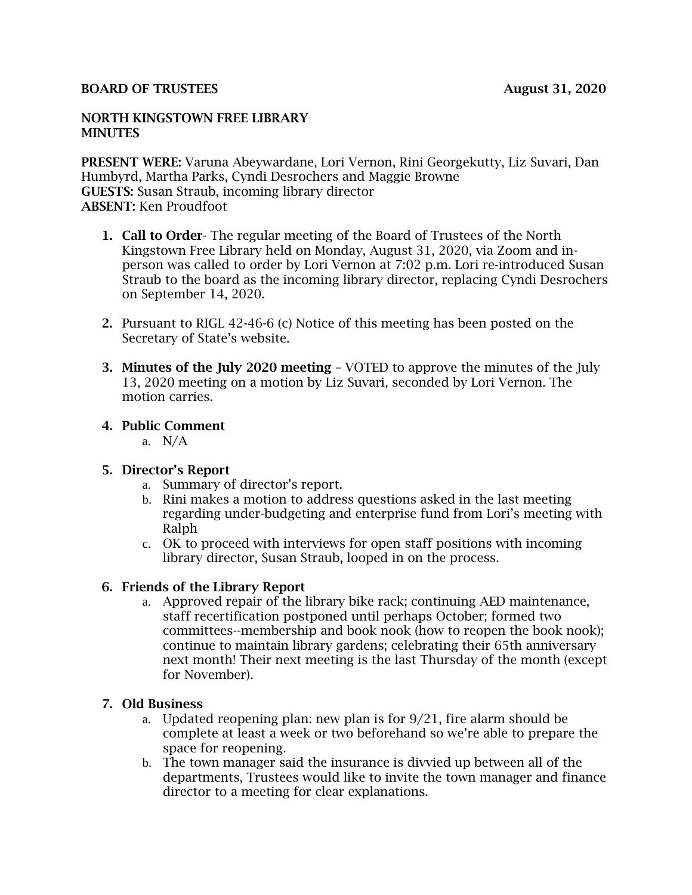#### BOARD OF TRUSTEES August 31, 2020

#### NORTH KINGSTOWN FREE LIBRARY **MINUTES**

PRESENT WERE: Varuna Abeywardane, Lori Vernon, Rini Georgekutty, Liz Suvari, Dan Humbyrd, Martha Parks, Cyndi Desrochers and Maggie Browne GUESTS: Susan Straub, incoming library director ABSENT: Ken Proudfoot

- 1. Call to Order- The regular meeting of the Board of Trustees of the North Kingstown Free Library held on Monday, August 31, 2020, via Zoom and inperson was called to order by Lori Vernon at 7:02 p.m. Lori re-introduced Susan Straub to the board as the incoming library director, replacing Cyndi Desrochers on September 14, 2020.
- 2. Pursuant to RIGL 42-46-6 (c) Notice of this meeting has been posted on the Secretary of State's website.
- 3. Minutes of the July 2020 meeting VOTED to approve the minutes of the July 13, 2020 meeting on a motion by Liz Suvari, seconded by Lori Vernon. The motion carries.
- 4. Public Comment
	- a. N/A

## 5. Director's Report

- a. Summary of director's report.
- b. Rini makes a motion to address questions asked in the last meeting regarding under-budgeting and enterprise fund from Lori's meeting with Ralph
- c. OK to proceed with interviews for open staff positions with incoming library director, Susan Straub, looped in on the process.

## 6. Friends of the Library Report

a. Approved repair of the library bike rack; continuing AED maintenance, staff recertification postponed until perhaps October; formed two committees--membership and book nook (how to reopen the book nook); continue to maintain library gardens; celebrating their 65th anniversary next month! Their next meeting is the last Thursday of the month (except for November).

## 7. Old Business

- a. Updated reopening plan: new plan is for  $9/21$ , fire alarm should be complete at least a week or two beforehand so we're able to prepare the space for reopening.
- b. The town manager said the insurance is divvied up between all of the departments, Trustees would like to invite the town manager and finance director to a meeting for clear explanations.